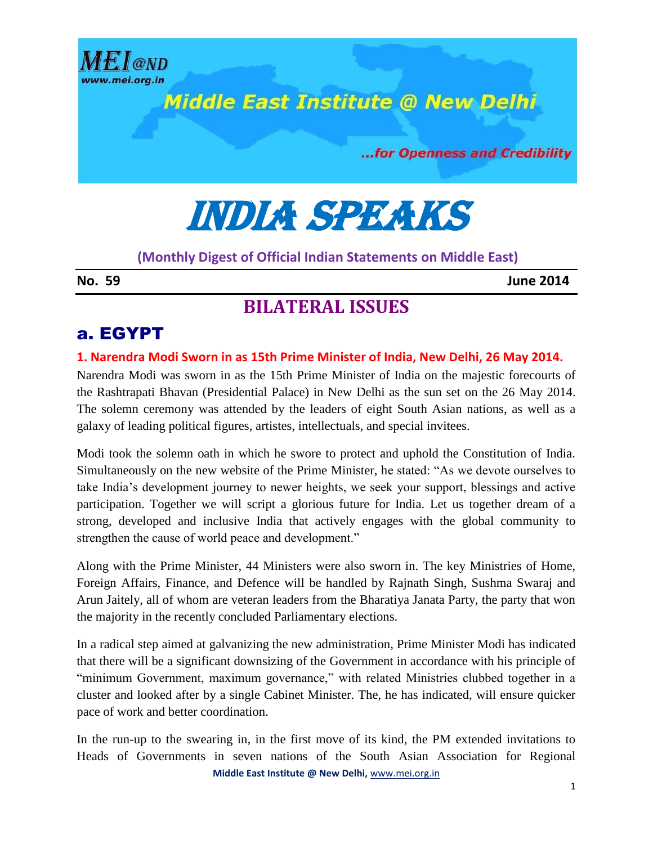

India speaks

### **(Monthly Digest of Official Indian Statements on Middle East)**

**No. 59 June 2014**

# **BILATERAL ISSUES**

## a. EGYPT

### **1. Narendra Modi Sworn in as 15th Prime Minister of India, New Delhi, 26 May 2014.**

Narendra Modi was sworn in as the 15th Prime Minister of India on the majestic forecourts of the Rashtrapati Bhavan (Presidential Palace) in New Delhi as the sun set on the 26 May 2014. The solemn ceremony was attended by the leaders of eight South Asian nations, as well as a galaxy of leading political figures, artistes, intellectuals, and special invitees.

Modi took the solemn oath in which he swore to protect and uphold the Constitution of India. Simultaneously on the new website of the Prime Minister, he stated: "As we devote ourselves to take India's development journey to newer heights, we seek your support, blessings and active participation. Together we will script a glorious future for India. Let us together dream of a strong, developed and inclusive India that actively engages with the global community to strengthen the cause of world peace and development."

Along with the Prime Minister, 44 Ministers were also sworn in. The key Ministries of Home, Foreign Affairs, Finance, and Defence will be handled by Rajnath Singh, Sushma Swaraj and Arun Jaitely, all of whom are veteran leaders from the Bharatiya Janata Party, the party that won the majority in the recently concluded Parliamentary elections.

In a radical step aimed at galvanizing the new administration, Prime Minister Modi has indicated that there will be a significant downsizing of the Government in accordance with his principle of "minimum Government, maximum governance," with related Ministries clubbed together in a cluster and looked after by a single Cabinet Minister. The, he has indicated, will ensure quicker pace of work and better coordination.

**Middle East Institute @ New Delhi,** www.mei.org.in In the run-up to the swearing in, in the first move of its kind, the PM extended invitations to Heads of Governments in seven nations of the South Asian Association for Regional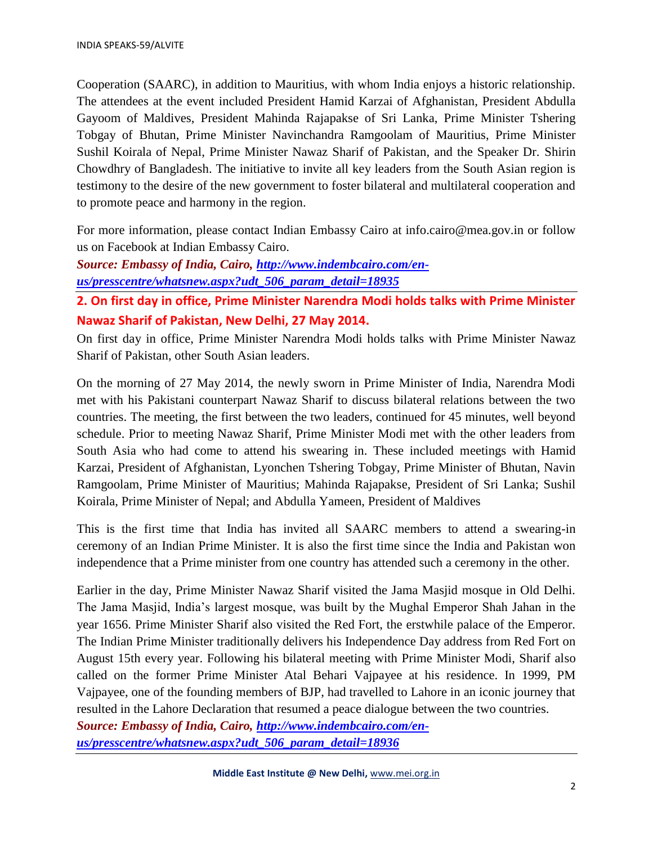Cooperation (SAARC), in addition to Mauritius, with whom India enjoys a historic relationship. The attendees at the event included President Hamid Karzai of Afghanistan, President Abdulla Gayoom of Maldives, President Mahinda Rajapakse of Sri Lanka, Prime Minister Tshering Tobgay of Bhutan, Prime Minister Navinchandra Ramgoolam of Mauritius, Prime Minister Sushil Koirala of Nepal, Prime Minister Nawaz Sharif of Pakistan, and the Speaker Dr. Shirin Chowdhry of Bangladesh. The initiative to invite all key leaders from the South Asian region is testimony to the desire of the new government to foster bilateral and multilateral cooperation and to promote peace and harmony in the region.

For more information, please contact Indian Embassy Cairo at info.cairo@mea.gov.in or follow us on Facebook at Indian Embassy Cairo.

*Source: Embassy of India, Cairo, [http://www.indembcairo.com/en](http://www.indembcairo.com/en-us/presscentre/whatsnew.aspx?udt_506_param_detail=18935)[us/presscentre/whatsnew.aspx?udt\\_506\\_param\\_detail=18935](http://www.indembcairo.com/en-us/presscentre/whatsnew.aspx?udt_506_param_detail=18935)*

**2. On first day in office, Prime Minister Narendra Modi holds talks with Prime Minister Nawaz Sharif of Pakistan, New Delhi, 27 May 2014.**

On first day in office, Prime Minister Narendra Modi holds talks with Prime Minister Nawaz Sharif of Pakistan, other South Asian leaders.

On the morning of 27 May 2014, the newly sworn in Prime Minister of India, Narendra Modi met with his Pakistani counterpart Nawaz Sharif to discuss bilateral relations between the two countries. The meeting, the first between the two leaders, continued for 45 minutes, well beyond schedule. Prior to meeting Nawaz Sharif, Prime Minister Modi met with the other leaders from South Asia who had come to attend his swearing in. These included meetings with Hamid Karzai, President of Afghanistan, Lyonchen Tshering Tobgay, Prime Minister of Bhutan, Navin Ramgoolam, Prime Minister of Mauritius; Mahinda Rajapakse, President of Sri Lanka; Sushil Koirala, Prime Minister of Nepal; and Abdulla Yameen, President of Maldives

This is the first time that India has invited all SAARC members to attend a swearing-in ceremony of an Indian Prime Minister. It is also the first time since the India and Pakistan won independence that a Prime minister from one country has attended such a ceremony in the other.

Earlier in the day, Prime Minister Nawaz Sharif visited the Jama Masjid mosque in Old Delhi. The Jama Masjid, India's largest mosque, was built by the Mughal Emperor Shah Jahan in the year 1656. Prime Minister Sharif also visited the Red Fort, the erstwhile palace of the Emperor. The Indian Prime Minister traditionally delivers his Independence Day address from Red Fort on August 15th every year. Following his bilateral meeting with Prime Minister Modi, Sharif also called on the former Prime Minister Atal Behari Vajpayee at his residence. In 1999, PM Vajpayee, one of the founding members of BJP, had travelled to Lahore in an iconic journey that resulted in the Lahore Declaration that resumed a peace dialogue between the two countries.

*Source: Embassy of India, Cairo, [http://www.indembcairo.com/en](http://www.indembcairo.com/en-us/presscentre/whatsnew.aspx?udt_506_param_detail=18936)[us/presscentre/whatsnew.aspx?udt\\_506\\_param\\_detail=18936](http://www.indembcairo.com/en-us/presscentre/whatsnew.aspx?udt_506_param_detail=18936)*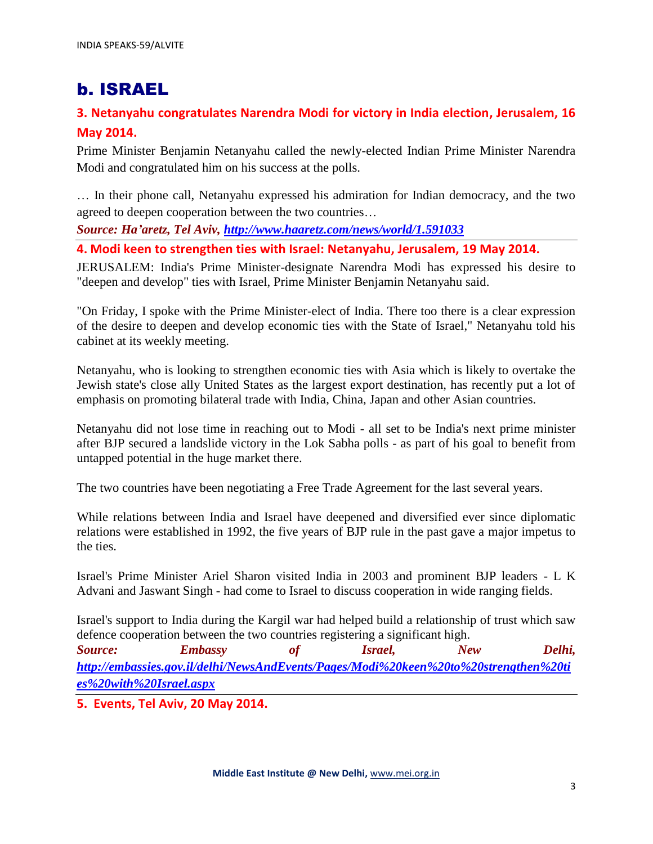# b. ISRAEL

### **3. Netanyahu congratulates Narendra Modi for victory in India election, Jerusalem, 16 May 2014.**

Prime Minister Benjamin Netanyahu called the newly-elected Indian Prime Minister Narendra Modi and congratulated him on his success at the polls.

… In their phone call, Netanyahu expressed his admiration for Indian democracy, and the two agreed to deepen cooperation between the two countries…

*Source: Ha'aretz, Tel Aviv,<http://www.haaretz.com/news/world/1.591033>*

**4. Modi keen to strengthen ties with Israel: Netanyahu, Jerusalem, 19 May 2014.**

JERUSALEM: India's Prime Minister-designate Narendra Modi has expressed his desire to "deepen and develop" ties with Israel, Prime Minister Benjamin Netanyahu said.

"On Friday, I spoke with the Prime Minister-elect of India. There too there is a clear expression of the desire to deepen and develop economic ties with the State of Israel," Netanyahu told his cabinet at its weekly meeting.

Netanyahu, who is looking to strengthen economic ties with Asia which is likely to overtake the Jewish state's close ally United States as the largest export destination, has recently put a lot of emphasis on promoting bilateral trade with India, China, Japan and other Asian countries.

Netanyahu did not lose time in reaching out to Modi - all set to be India's next prime minister after BJP secured a landslide victory in the Lok Sabha polls - as part of his goal to benefit from untapped potential in the huge market there.

The two countries have been negotiating a Free Trade Agreement for the last several years.

While relations between India and Israel have deepened and diversified ever since diplomatic relations were established in 1992, the five years of BJP rule in the past gave a major impetus to the ties.

Israel's Prime Minister Ariel Sharon visited India in 2003 and prominent BJP leaders - L K Advani and Jaswant Singh - had come to Israel to discuss cooperation in wide ranging fields.

Israel's support to India during the Kargil war had helped build a relationship of trust which saw defence cooperation between the two countries registering a significant high.

*Source: Embassy of Israel, New Delhi, [http://embassies.gov.il/delhi/NewsAndEvents/Pages/Modi%20keen%20to%20strengthen%20ti](http://embassies.gov.il/delhi/NewsAndEvents/Pages/Modi%20keen%20to%20strengthen%20ties%20with%20Israel.aspx) [es%20with%20Israel.aspx](http://embassies.gov.il/delhi/NewsAndEvents/Pages/Modi%20keen%20to%20strengthen%20ties%20with%20Israel.aspx)*

**5. Events, Tel Aviv, 20 May 2014.**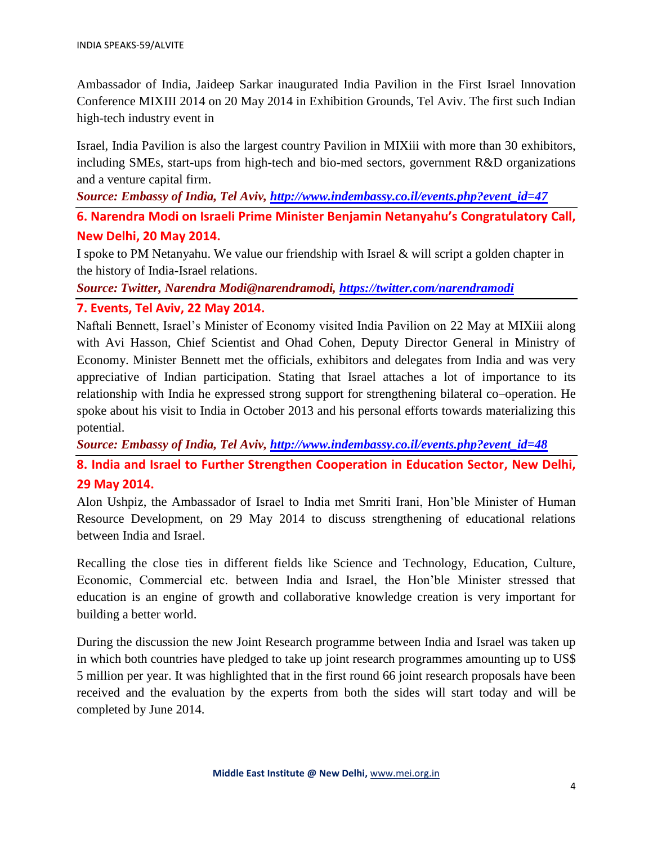Ambassador of India, Jaideep Sarkar inaugurated India Pavilion in the First Israel Innovation Conference MIXIII 2014 on 20 May 2014 in Exhibition Grounds, Tel Aviv. The first such Indian high-tech industry event in

Israel, India Pavilion is also the largest country Pavilion in MIXiii with more than 30 exhibitors, including SMEs, start-ups from high-tech and bio-med sectors, government R&D organizations and a venture capital firm.

*Source: Embassy of India, Tel Aviv, [http://www.indembassy.co.il/events.php?event\\_id=47](http://www.indembassy.co.il/events.php?event_id=47)*

**6. Narendra Modi on Israeli Prime Minister Benjamin Netanyahu's Congratulatory Call, New Delhi, 20 May 2014.**

I spoke to PM Netanyahu. We value our friendship with Israel & will script a golden chapter in the history of India-Israel relations.

*Source: Twitter, Narendra Modi@narendramodi,<https://twitter.com/narendramodi>*

#### **7. Events, Tel Aviv, 22 May 2014.**

Naftali Bennett, Israel's Minister of Economy visited India Pavilion on 22 May at MIXiii along with Avi Hasson, Chief Scientist and Ohad Cohen, Deputy Director General in Ministry of Economy. Minister Bennett met the officials, exhibitors and delegates from India and was very appreciative of Indian participation. Stating that Israel attaches a lot of importance to its relationship with India he expressed strong support for strengthening bilateral co–operation. He spoke about his visit to India in October 2013 and his personal efforts towards materializing this potential.

*Source: Embassy of India, Tel Aviv, [http://www.indembassy.co.il/events.php?event\\_id=48](http://www.indembassy.co.il/events.php?event_id=48)* **8. India and Israel to Further Strengthen Cooperation in Education Sector, New Delhi, 29 May 2014.**

Alon Ushpiz, the Ambassador of Israel to India met Smriti Irani, Hon'ble Minister of Human Resource Development, on 29 May 2014 to discuss strengthening of educational relations between India and Israel.

Recalling the close ties in different fields like Science and Technology, Education, Culture, Economic, Commercial etc. between India and Israel, the Hon'ble Minister stressed that education is an engine of growth and collaborative knowledge creation is very important for building a better world.

During the discussion the new Joint Research programme between India and Israel was taken up in which both countries have pledged to take up joint research programmes amounting up to US\$ 5 million per year. It was highlighted that in the first round 66 joint research proposals have been received and the evaluation by the experts from both the sides will start today and will be completed by June 2014.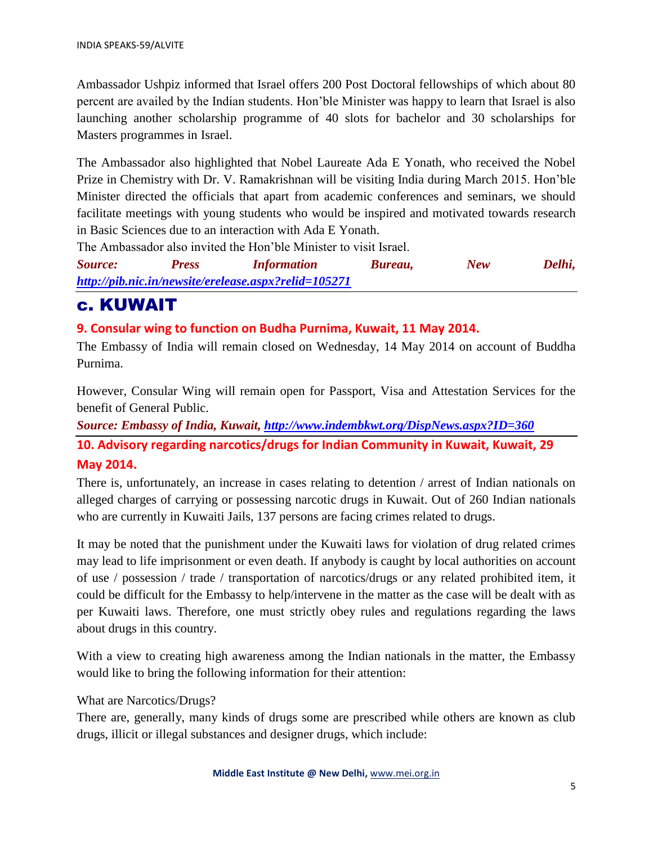Ambassador Ushpiz informed that Israel offers 200 Post Doctoral fellowships of which about 80 percent are availed by the Indian students. Hon'ble Minister was happy to learn that Israel is also launching another scholarship programme of 40 slots for bachelor and 30 scholarships for Masters programmes in Israel.

The Ambassador also highlighted that Nobel Laureate Ada E Yonath, who received the Nobel Prize in Chemistry with Dr. V. Ramakrishnan will be visiting India during March 2015. Hon'ble Minister directed the officials that apart from academic conferences and seminars, we should facilitate meetings with young students who would be inspired and motivated towards research in Basic Sciences due to an interaction with Ada E Yonath.

The Ambassador also invited the Hon'ble Minister to visit Israel.

| Source: | <b>Press</b> | <i>Information</i>                                   | Bureau, | New | Delhi, |
|---------|--------------|------------------------------------------------------|---------|-----|--------|
|         |              | http://pib.nic.in/newsite/erelease.aspx?relid=105271 |         |     |        |

## c. KUWAIT

#### **9. Consular wing to function on Budha Purnima, Kuwait, 11 May 2014.**

The Embassy of India will remain closed on Wednesday, 14 May 2014 on account of Buddha Purnima.

However, Consular Wing will remain open for Passport, Visa and Attestation Services for the benefit of General Public.

*Source: Embassy of India, Kuwait,<http://www.indembkwt.org/DispNews.aspx?ID=360>*

**10. Advisory regarding narcotics/drugs for Indian Community in Kuwait, Kuwait, 29** 

#### **May 2014.**

There is, unfortunately, an increase in cases relating to detention / arrest of Indian nationals on alleged charges of carrying or possessing narcotic drugs in Kuwait. Out of 260 Indian nationals who are currently in Kuwaiti Jails, 137 persons are facing crimes related to drugs.

It may be noted that the punishment under the Kuwaiti laws for violation of drug related crimes may lead to life imprisonment or even death. If anybody is caught by local authorities on account of use / possession / trade / transportation of narcotics/drugs or any related prohibited item, it could be difficult for the Embassy to help/intervene in the matter as the case will be dealt with as per Kuwaiti laws. Therefore, one must strictly obey rules and regulations regarding the laws about drugs in this country.

With a view to creating high awareness among the Indian nationals in the matter, the Embassy would like to bring the following information for their attention:

What are Narcotics/Drugs?

There are, generally, many kinds of drugs some are prescribed while others are known as club drugs, illicit or illegal substances and designer drugs, which include: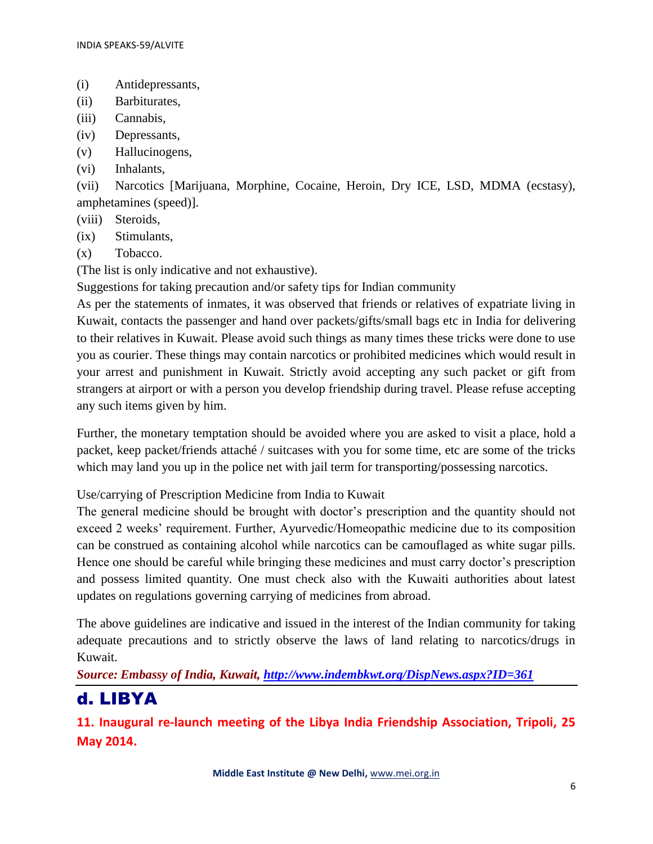- (i) Antidepressants,
- (ii) Barbiturates,
- (iii) Cannabis,
- (iv) Depressants,
- (v) Hallucinogens,
- (vi) Inhalants,

(vii) Narcotics [Marijuana, Morphine, Cocaine, Heroin, Dry ICE, LSD, MDMA (ecstasy), amphetamines (speed)].

- (viii) Steroids,
- (ix) Stimulants,
- (x) Tobacco.

(The list is only indicative and not exhaustive).

Suggestions for taking precaution and/or safety tips for Indian community

As per the statements of inmates, it was observed that friends or relatives of expatriate living in Kuwait, contacts the passenger and hand over packets/gifts/small bags etc in India for delivering to their relatives in Kuwait. Please avoid such things as many times these tricks were done to use you as courier. These things may contain narcotics or prohibited medicines which would result in your arrest and punishment in Kuwait. Strictly avoid accepting any such packet or gift from strangers at airport or with a person you develop friendship during travel. Please refuse accepting any such items given by him.

Further, the monetary temptation should be avoided where you are asked to visit a place, hold a packet, keep packet/friends attaché / suitcases with you for some time, etc are some of the tricks which may land you up in the police net with jail term for transporting/possessing narcotics.

Use/carrying of Prescription Medicine from India to Kuwait

The general medicine should be brought with doctor's prescription and the quantity should not exceed 2 weeks' requirement. Further, Ayurvedic/Homeopathic medicine due to its composition can be construed as containing alcohol while narcotics can be camouflaged as white sugar pills. Hence one should be careful while bringing these medicines and must carry doctor's prescription and possess limited quantity. One must check also with the Kuwaiti authorities about latest updates on regulations governing carrying of medicines from abroad.

The above guidelines are indicative and issued in the interest of the Indian community for taking adequate precautions and to strictly observe the laws of land relating to narcotics/drugs in Kuwait.

*Source: Embassy of India, Kuwait,<http://www.indembkwt.org/DispNews.aspx?ID=361>*

## d. LIBYA

**11. Inaugural re-launch meeting of the Libya India Friendship Association, Tripoli, 25 May 2014.**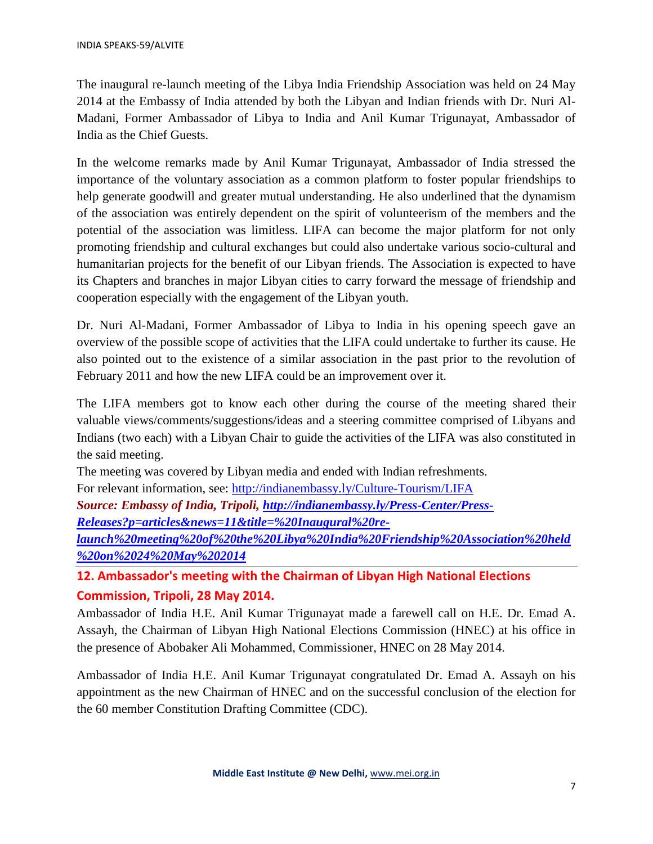The inaugural re-launch meeting of the Libya India Friendship Association was held on 24 May 2014 at the Embassy of India attended by both the Libyan and Indian friends with Dr. Nuri Al-Madani, Former Ambassador of Libya to India and Anil Kumar Trigunayat, Ambassador of India as the Chief Guests.

In the welcome remarks made by Anil Kumar Trigunayat, Ambassador of India stressed the importance of the voluntary association as a common platform to foster popular friendships to help generate goodwill and greater mutual understanding. He also underlined that the dynamism of the association was entirely dependent on the spirit of volunteerism of the members and the potential of the association was limitless. LIFA can become the major platform for not only promoting friendship and cultural exchanges but could also undertake various socio-cultural and humanitarian projects for the benefit of our Libyan friends. The Association is expected to have its Chapters and branches in major Libyan cities to carry forward the message of friendship and cooperation especially with the engagement of the Libyan youth.

Dr. Nuri Al-Madani, Former Ambassador of Libya to India in his opening speech gave an overview of the possible scope of activities that the LIFA could undertake to further its cause. He also pointed out to the existence of a similar association in the past prior to the revolution of February 2011 and how the new LIFA could be an improvement over it.

The LIFA members got to know each other during the course of the meeting shared their valuable views/comments/suggestions/ideas and a steering committee comprised of Libyans and Indians (two each) with a Libyan Chair to guide the activities of the LIFA was also constituted in the said meeting.

The meeting was covered by Libyan media and ended with Indian refreshments.

For relevant information, see:<http://indianembassy.ly/Culture-Tourism/LIFA>

*Source: Embassy of India, Tripoli, [http://indianembassy.ly/Press-Center/Press-](http://indianembassy.ly/Press-Center/Press-Releases?p=articles&news=11&title=%20Inaugural%20re-launch%20meeting%20of%20the%20Libya%20India%20Friendship%20Association%20held%20on%2024%20May%202014)[Releases?p=articles&news=11&title=%20Inaugural%20re-](http://indianembassy.ly/Press-Center/Press-Releases?p=articles&news=11&title=%20Inaugural%20re-launch%20meeting%20of%20the%20Libya%20India%20Friendship%20Association%20held%20on%2024%20May%202014)*

*[launch%20meeting%20of%20the%20Libya%20India%20Friendship%20Association%20held](http://indianembassy.ly/Press-Center/Press-Releases?p=articles&news=11&title=%20Inaugural%20re-launch%20meeting%20of%20the%20Libya%20India%20Friendship%20Association%20held%20on%2024%20May%202014) [%20on%2024%20May%202014](http://indianembassy.ly/Press-Center/Press-Releases?p=articles&news=11&title=%20Inaugural%20re-launch%20meeting%20of%20the%20Libya%20India%20Friendship%20Association%20held%20on%2024%20May%202014)*

**12. Ambassador's meeting with the Chairman of Libyan High National Elections Commission, Tripoli, 28 May 2014.**

Ambassador of India H.E. Anil Kumar Trigunayat made a farewell call on H.E. Dr. Emad A. Assayh, the Chairman of Libyan High National Elections Commission (HNEC) at his office in the presence of Abobaker Ali Mohammed, Commissioner, HNEC on 28 May 2014.

Ambassador of India H.E. Anil Kumar Trigunayat congratulated Dr. Emad A. Assayh on his appointment as the new Chairman of HNEC and on the successful conclusion of the election for the 60 member Constitution Drafting Committee (CDC).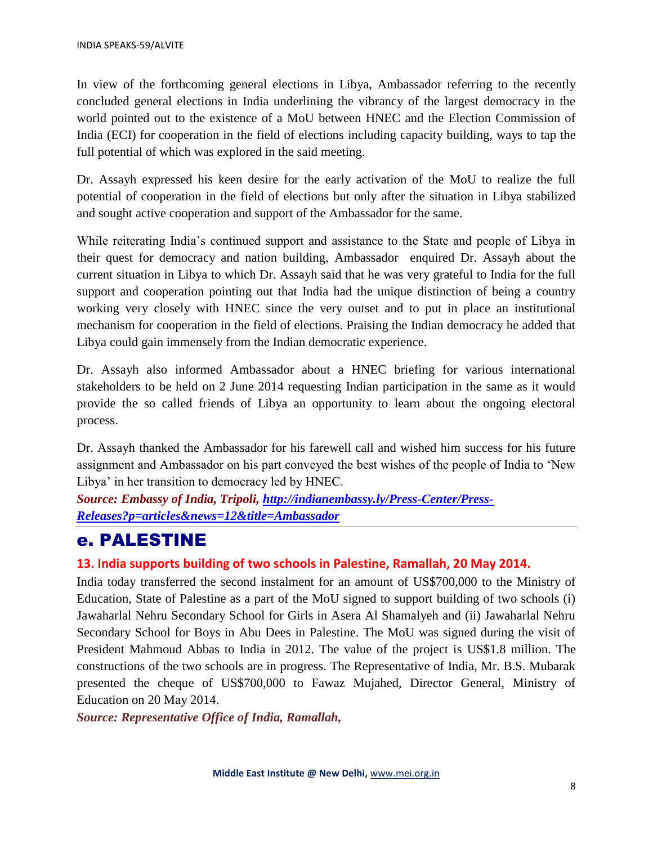In view of the forthcoming general elections in Libya, Ambassador referring to the recently concluded general elections in India underlining the vibrancy of the largest democracy in the world pointed out to the existence of a MoU between HNEC and the Election Commission of India (ECI) for cooperation in the field of elections including capacity building, ways to tap the full potential of which was explored in the said meeting.

Dr. Assayh expressed his keen desire for the early activation of the MoU to realize the full potential of cooperation in the field of elections but only after the situation in Libya stabilized and sought active cooperation and support of the Ambassador for the same.

While reiterating India's continued support and assistance to the State and people of Libya in their quest for democracy and nation building, Ambassador enquired Dr. Assayh about the current situation in Libya to which Dr. Assayh said that he was very grateful to India for the full support and cooperation pointing out that India had the unique distinction of being a country working very closely with HNEC since the very outset and to put in place an institutional mechanism for cooperation in the field of elections. Praising the Indian democracy he added that Libya could gain immensely from the Indian democratic experience.

Dr. Assayh also informed Ambassador about a HNEC briefing for various international stakeholders to be held on 2 June 2014 requesting Indian participation in the same as it would provide the so called friends of Libya an opportunity to learn about the ongoing electoral process.

Dr. Assayh thanked the Ambassador for his farewell call and wished him success for his future assignment and Ambassador on his part conveyed the best wishes of the people of India to 'New Libya' in her transition to democracy led by HNEC.

*Source: Embassy of India, Tripoli, [http://indianembassy.ly/Press-Center/Press-](http://indianembassy.ly/Press-Center/Press-Releases?p=articles&news=12&title=Ambassador)[Releases?p=articles&news=12&title=Ambassador](http://indianembassy.ly/Press-Center/Press-Releases?p=articles&news=12&title=Ambassador)*

## e. PALESTINE

#### **13. India supports building of two schools in Palestine, Ramallah, 20 May 2014.**

India today transferred the second instalment for an amount of US\$700,000 to the Ministry of Education, State of Palestine as a part of the MoU signed to support building of two schools (i) Jawaharlal Nehru Secondary School for Girls in Asera Al Shamalyeh and (ii) Jawaharlal Nehru Secondary School for Boys in Abu Dees in Palestine. The MoU was signed during the visit of President Mahmoud Abbas to India in 2012. The value of the project is US\$1.8 million. The constructions of the two schools are in progress. The Representative of India, Mr. B.S. Mubarak presented the cheque of US\$700,000 to Fawaz Mujahed, Director General, Ministry of Education on 20 May 2014.

*Source: Representative Office of India, Ramallah,*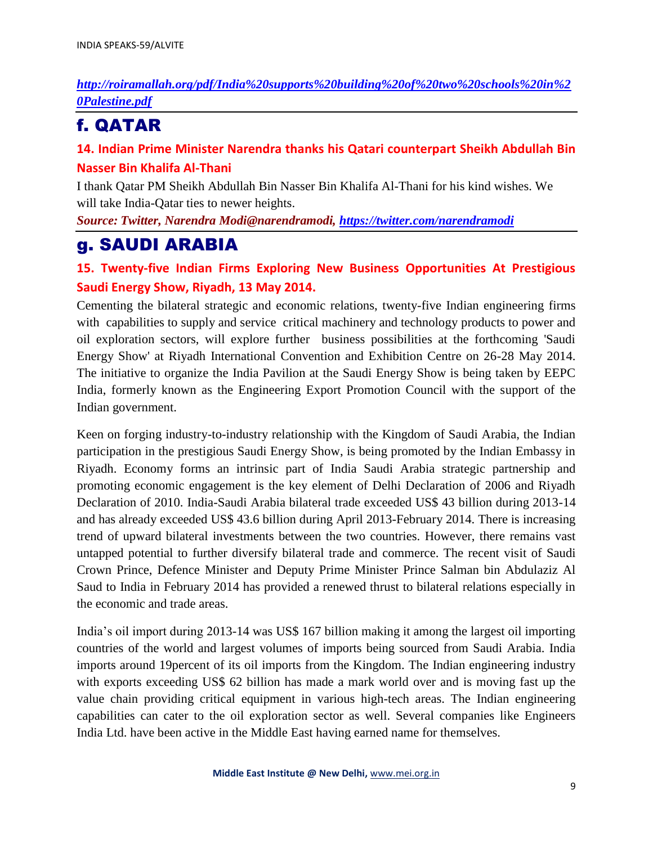### *[http://roiramallah.org/pdf/India%20supports%20building%20of%20two%20schools%20in%2](http://roiramallah.org/pdf/India%20supports%20building%20of%20two%20schools%20in%20Palestine.pdf) [0Palestine.pdf](http://roiramallah.org/pdf/India%20supports%20building%20of%20two%20schools%20in%20Palestine.pdf)*

# f. QATAR

### **14. Indian Prime Minister Narendra thanks his Qatari counterpart Sheikh Abdullah Bin Nasser Bin Khalifa Al-Thani**

I thank Qatar PM Sheikh Abdullah Bin Nasser Bin Khalifa Al-Thani for his kind wishes. We will take India-Qatar ties to newer heights.

*Source: Twitter, Narendra Modi@narendramodi,<https://twitter.com/narendramodi>*

## g. SAUDI ARABIA

### **15. Twenty-five Indian Firms Exploring New Business Opportunities At Prestigious Saudi Energy Show, Riyadh, 13 May 2014.**

Cementing the bilateral strategic and economic relations, twenty-five Indian engineering firms with capabilities to supply and service critical machinery and technology products to power and oil exploration sectors, will explore further business possibilities at the forthcoming 'Saudi Energy Show' at Riyadh International Convention and Exhibition Centre on 26-28 May 2014. The initiative to organize the India Pavilion at the Saudi Energy Show is being taken by EEPC India, formerly known as the Engineering Export Promotion Council with the support of the Indian government.

Keen on forging industry-to-industry relationship with the Kingdom of Saudi Arabia, the Indian participation in the prestigious Saudi Energy Show, is being promoted by the Indian Embassy in Riyadh. Economy forms an intrinsic part of India Saudi Arabia strategic partnership and promoting economic engagement is the key element of Delhi Declaration of 2006 and Riyadh Declaration of 2010. India-Saudi Arabia bilateral trade exceeded US\$ 43 billion during 2013-14 and has already exceeded US\$ 43.6 billion during April 2013-February 2014. There is increasing trend of upward bilateral investments between the two countries. However, there remains vast untapped potential to further diversify bilateral trade and commerce. The recent visit of Saudi Crown Prince, Defence Minister and Deputy Prime Minister Prince Salman bin Abdulaziz Al Saud to India in February 2014 has provided a renewed thrust to bilateral relations especially in the economic and trade areas.

India's oil import during 2013-14 was US\$ 167 billion making it among the largest oil importing countries of the world and largest volumes of imports being sourced from Saudi Arabia. India imports around 19percent of its oil imports from the Kingdom. The Indian engineering industry with exports exceeding US\$ 62 billion has made a mark world over and is moving fast up the value chain providing critical equipment in various high-tech areas. The Indian engineering capabilities can cater to the oil exploration sector as well. Several companies like Engineers India Ltd. have been active in the Middle East having earned name for themselves.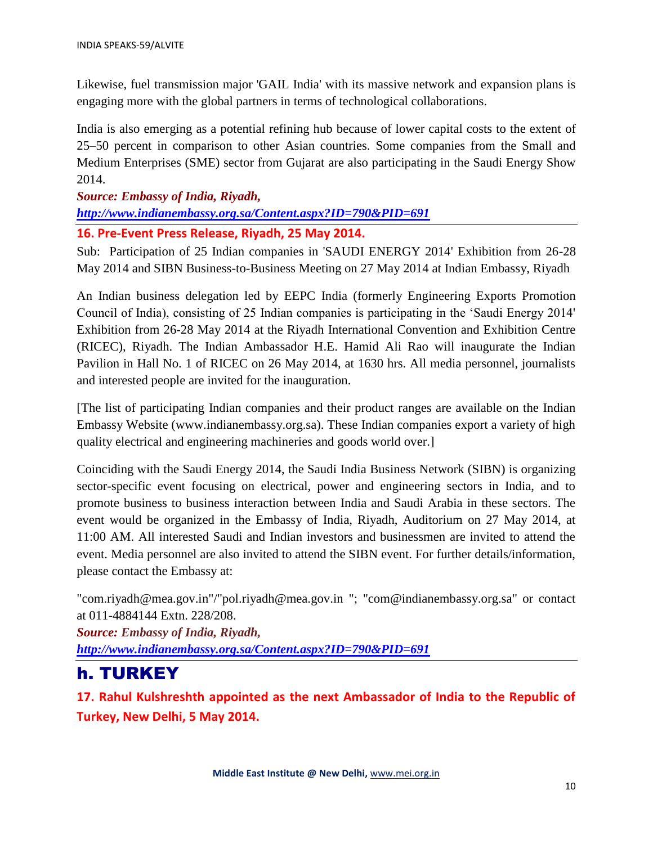Likewise, fuel transmission major 'GAIL India' with its massive network and expansion plans is engaging more with the global partners in terms of technological collaborations.

India is also emerging as a potential refining hub because of lower capital costs to the extent of 25–50 percent in comparison to other Asian countries. Some companies from the Small and Medium Enterprises (SME) sector from Gujarat are also participating in the Saudi Energy Show 2014.

*Source: Embassy of India, Riyadh, <http://www.indianembassy.org.sa/Content.aspx?ID=790&PID=691>* **16. Pre-Event Press Release, Riyadh, 25 May 2014.**

Sub: Participation of 25 Indian companies in 'SAUDI ENERGY 2014' Exhibition from 26-28 May 2014 and SIBN Business-to-Business Meeting on 27 May 2014 at Indian Embassy, Riyadh

An Indian business delegation led by EEPC India (formerly Engineering Exports Promotion Council of India), consisting of 25 Indian companies is participating in the 'Saudi Energy 2014' Exhibition from 26-28 May 2014 at the Riyadh International Convention and Exhibition Centre (RICEC), Riyadh. The Indian Ambassador H.E. Hamid Ali Rao will inaugurate the Indian Pavilion in Hall No. 1 of RICEC on 26 May 2014, at 1630 hrs. All media personnel, journalists and interested people are invited for the inauguration.

[The list of participating Indian companies and their product ranges are available on the Indian Embassy Website (www.indianembassy.org.sa). These Indian companies export a variety of high quality electrical and engineering machineries and goods world over.]

Coinciding with the Saudi Energy 2014, the Saudi India Business Network (SIBN) is organizing sector-specific event focusing on electrical, power and engineering sectors in India, and to promote business to business interaction between India and Saudi Arabia in these sectors. The event would be organized in the Embassy of India, Riyadh, Auditorium on 27 May 2014, at 11:00 AM. All interested Saudi and Indian investors and businessmen are invited to attend the event. Media personnel are also invited to attend the SIBN event. For further details/information, please contact the Embassy at:

"com.riyadh@mea.gov.in"/"pol.riyadh@mea.gov.in "; "com@indianembassy.org.sa" or contact at 011-4884144 Extn. 228/208.

*Source: Embassy of India, Riyadh, <http://www.indianembassy.org.sa/Content.aspx?ID=790&PID=691>*

## h. TURKEY

**17. Rahul Kulshreshth appointed as the next Ambassador of India to the Republic of Turkey, New Delhi, 5 May 2014.**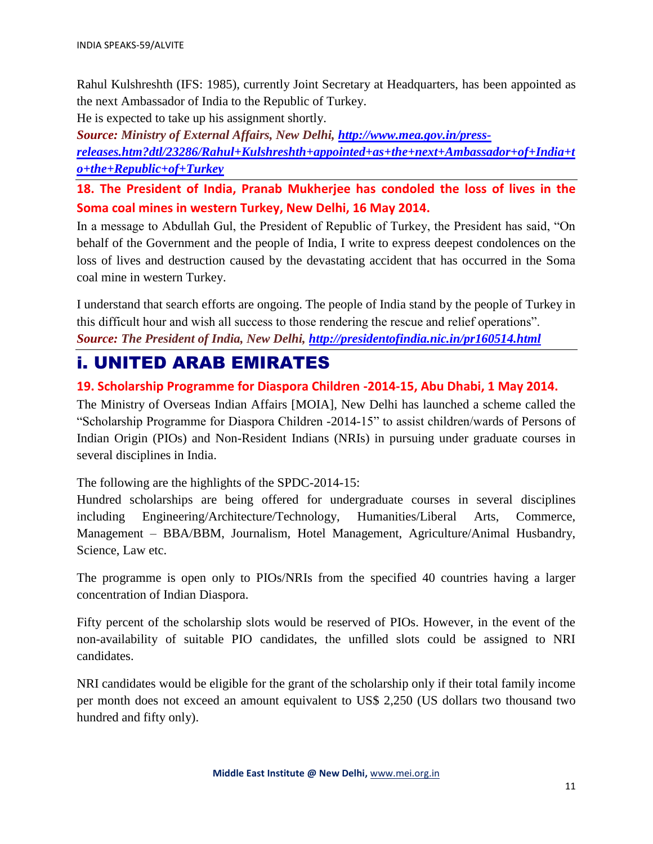Rahul Kulshreshth (IFS: 1985), currently Joint Secretary at Headquarters, has been appointed as the next Ambassador of India to the Republic of Turkey.

He is expected to take up his assignment shortly.

*Source: Ministry of External Affairs, New Delhi, [http://www.mea.gov.in/press](http://www.mea.gov.in/press-releases.htm?dtl/23286/Rahul+Kulshreshth+appointed+as+the+next+Ambassador+of+India+to+the+Republic+of+Turkey)[releases.htm?dtl/23286/Rahul+Kulshreshth+appointed+as+the+next+Ambassador+of+India+t](http://www.mea.gov.in/press-releases.htm?dtl/23286/Rahul+Kulshreshth+appointed+as+the+next+Ambassador+of+India+to+the+Republic+of+Turkey) [o+the+Republic+of+Turkey](http://www.mea.gov.in/press-releases.htm?dtl/23286/Rahul+Kulshreshth+appointed+as+the+next+Ambassador+of+India+to+the+Republic+of+Turkey)*

**18. The President of India, Pranab Mukherjee has condoled the loss of lives in the Soma coal mines in western Turkey, New Delhi, 16 May 2014.**

In a message to Abdullah Gul, the President of Republic of Turkey, the President has said, "On behalf of the Government and the people of India, I write to express deepest condolences on the loss of lives and destruction caused by the devastating accident that has occurred in the Soma coal mine in western Turkey.

I understand that search efforts are ongoing. The people of India stand by the people of Turkey in this difficult hour and wish all success to those rendering the rescue and relief operations". *Source: The President of India, New Delhi,<http://presidentofindia.nic.in/pr160514.html>*

## i. UNITED ARAB EMIRATES

#### **19. Scholarship Programme for Diaspora Children -2014-15, Abu Dhabi, 1 May 2014.**

The Ministry of Overseas Indian Affairs [MOIA], New Delhi has launched a scheme called the "Scholarship Programme for Diaspora Children -2014-15" to assist children/wards of Persons of Indian Origin (PIOs) and Non-Resident Indians (NRIs) in pursuing under graduate courses in several disciplines in India.

The following are the highlights of the SPDC-2014-15:

Hundred scholarships are being offered for undergraduate courses in several disciplines including Engineering/Architecture/Technology, Humanities/Liberal Arts, Commerce, Management – BBA/BBM, Journalism, Hotel Management, Agriculture/Animal Husbandry, Science, Law etc.

The programme is open only to PIOs/NRIs from the specified 40 countries having a larger concentration of Indian Diaspora.

Fifty percent of the scholarship slots would be reserved of PIOs. However, in the event of the non-availability of suitable PIO candidates, the unfilled slots could be assigned to NRI candidates.

NRI candidates would be eligible for the grant of the scholarship only if their total family income per month does not exceed an amount equivalent to US\$ 2,250 (US dollars two thousand two hundred and fifty only).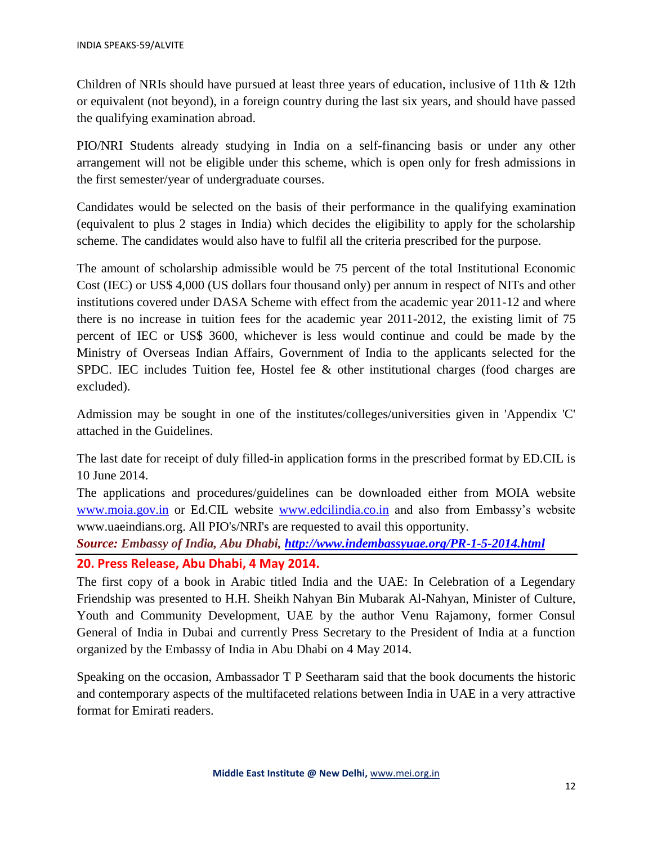Children of NRIs should have pursued at least three years of education, inclusive of 11th & 12th or equivalent (not beyond), in a foreign country during the last six years, and should have passed the qualifying examination abroad.

PIO/NRI Students already studying in India on a self-financing basis or under any other arrangement will not be eligible under this scheme, which is open only for fresh admissions in the first semester/year of undergraduate courses.

Candidates would be selected on the basis of their performance in the qualifying examination (equivalent to plus 2 stages in India) which decides the eligibility to apply for the scholarship scheme. The candidates would also have to fulfil all the criteria prescribed for the purpose.

The amount of scholarship admissible would be 75 percent of the total Institutional Economic Cost (IEC) or US\$ 4,000 (US dollars four thousand only) per annum in respect of NITs and other institutions covered under DASA Scheme with effect from the academic year 2011-12 and where there is no increase in tuition fees for the academic year 2011-2012, the existing limit of 75 percent of IEC or US\$ 3600, whichever is less would continue and could be made by the Ministry of Overseas Indian Affairs, Government of India to the applicants selected for the SPDC. IEC includes Tuition fee, Hostel fee & other institutional charges (food charges are excluded).

Admission may be sought in one of the institutes/colleges/universities given in 'Appendix 'C' attached in the Guidelines.

The last date for receipt of duly filled-in application forms in the prescribed format by ED.CIL is 10 June 2014.

The applications and procedures/guidelines can be downloaded either from MOIA website [www.moia.gov.in](http://www.moia.gov.in/) or Ed.CIL website [www.edcilindia.co.in](http://www.edcilindia.co.in/) and also from Embassy's website www.uaeindians.org. All PIO's/NRI's are requested to avail this opportunity.

*Source: Embassy of India, Abu Dhabi,<http://www.indembassyuae.org/PR-1-5-2014.html>*

#### **20. Press Release, Abu Dhabi, 4 May 2014.**

The first copy of a book in Arabic titled India and the UAE: In Celebration of a Legendary Friendship was presented to H.H. Sheikh Nahyan Bin Mubarak Al-Nahyan, Minister of Culture, Youth and Community Development, UAE by the author Venu Rajamony, former Consul General of India in Dubai and currently Press Secretary to the President of India at a function organized by the Embassy of India in Abu Dhabi on 4 May 2014.

Speaking on the occasion, Ambassador T P Seetharam said that the book documents the historic and contemporary aspects of the multifaceted relations between India in UAE in a very attractive format for Emirati readers.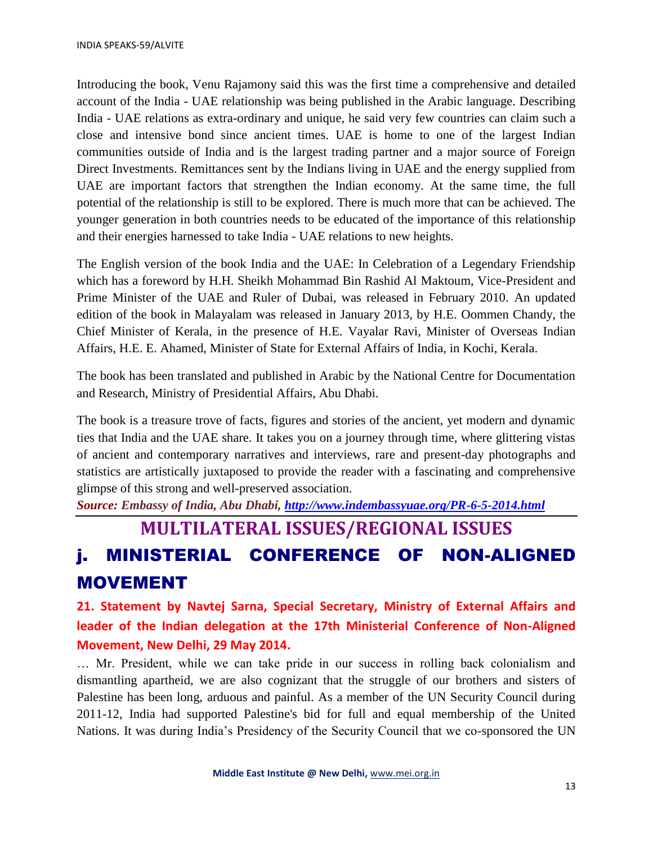Introducing the book, Venu Rajamony said this was the first time a comprehensive and detailed account of the India - UAE relationship was being published in the Arabic language. Describing India - UAE relations as extra-ordinary and unique, he said very few countries can claim such a close and intensive bond since ancient times. UAE is home to one of the largest Indian communities outside of India and is the largest trading partner and a major source of Foreign Direct Investments. Remittances sent by the Indians living in UAE and the energy supplied from UAE are important factors that strengthen the Indian economy. At the same time, the full potential of the relationship is still to be explored. There is much more that can be achieved. The younger generation in both countries needs to be educated of the importance of this relationship and their energies harnessed to take India - UAE relations to new heights.

The English version of the book India and the UAE: In Celebration of a Legendary Friendship which has a foreword by H.H. Sheikh Mohammad Bin Rashid Al Maktoum, Vice-President and Prime Minister of the UAE and Ruler of Dubai, was released in February 2010. An updated edition of the book in Malayalam was released in January 2013, by H.E. Oommen Chandy, the Chief Minister of Kerala, in the presence of H.E. Vayalar Ravi, Minister of Overseas Indian Affairs, H.E. E. Ahamed, Minister of State for External Affairs of India, in Kochi, Kerala.

The book has been translated and published in Arabic by the National Centre for Documentation and Research, Ministry of Presidential Affairs, Abu Dhabi.

The book is a treasure trove of facts, figures and stories of the ancient, yet modern and dynamic ties that India and the UAE share. It takes you on a journey through time, where glittering vistas of ancient and contemporary narratives and interviews, rare and present-day photographs and statistics are artistically juxtaposed to provide the reader with a fascinating and comprehensive glimpse of this strong and well-preserved association.

*Source: Embassy of India, Abu Dhabi, <http://www.indembassyuae.org/PR-6-5-2014.html>*

# **MULTILATERAL ISSUES/REGIONAL ISSUES**

# j. MINISTERIAL CONFERENCE OF NON-ALIGNED MOVEMENT

**21. Statement by Navtej Sarna, Special Secretary, Ministry of External Affairs and leader of the Indian delegation at the 17th Ministerial Conference of Non-Aligned Movement, New Delhi, 29 May 2014.**

… Mr. President, while we can take pride in our success in rolling back colonialism and dismantling apartheid, we are also cognizant that the struggle of our brothers and sisters of Palestine has been long, arduous and painful. As a member of the UN Security Council during 2011-12, India had supported Palestine's bid for full and equal membership of the United Nations. It was during India's Presidency of the Security Council that we co-sponsored the UN